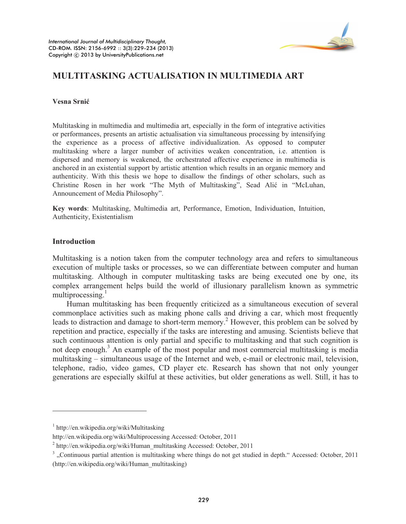

# **MULTITASKING ACTUALISATION IN MULTIMEDIA ART**

#### **Vesna Srniü**

Multitasking in multimedia and multimedia art, especially in the form of integrative activities or performances, presents an artistic actualisation via simultaneous processing by intensifying the experience as a process of affective individualization. As opposed to computer multitasking where a larger number of activities weaken concentration, i.e. attention is dispersed and memory is weakened, the orchestrated affective experience in multimedia is anchored in an existential support by artistic attention which results in an organic memory and authenticity. With this thesis we hope to disallow the findings of other scholars, such as Christine Rosen in her work "The Myth of Multitasking", Sead Alić in "McLuhan, Announcement of Media Philosophy".

**Key words**: Multitasking, Multimedia art, Performance, Emotion, Individuation, Intuition, Authenticity, Existentialism

### **Introduction**

 $\overline{a}$ 

Multitasking is a notion taken from the computer technology area and refers to simultaneous execution of multiple tasks or processes, so we can differentiate between computer and human multitasking. Although in computer multitasking tasks are being executed one by one, its complex arrangement helps build the world of illusionary parallelism known as symmetric multiprocessing. $\frac{1}{1}$ 

Human multitasking has been frequently criticized as a simultaneous execution of several commonplace activities such as making phone calls and driving a car, which most frequently leads to distraction and damage to short-term memory.<sup>2</sup> However, this problem can be solved by repetition and practice, especially if the tasks are interesting and amusing. Scientists believe that such continuous attention is only partial and specific to multitasking and that such cognition is not deep enough.<sup>3</sup> An example of the most popular and most commercial multitasking is media multitasking – simultaneous usage of the Internet and web, e-mail or electronic mail, television, telephone, radio, video games, CD player etc. Research has shown that not only younger generations are especially skilful at these activities, but older generations as well. Still, it has to

<sup>1</sup> http://en.wikipedia.org/wiki/Multitasking

http://en.wikipedia.org/wiki/Multiprocessing Accessed: October, 2011

<sup>&</sup>lt;sup>2</sup> http://en.wikipedia.org/wiki/Human\_multitasking Accessed: October, 2011

 $3$ , Continuous partial attention is multitasking where things do not get studied in depth." Accessed: October, 2011 (http://en.wikipedia.org/wiki/Human\_multitasking)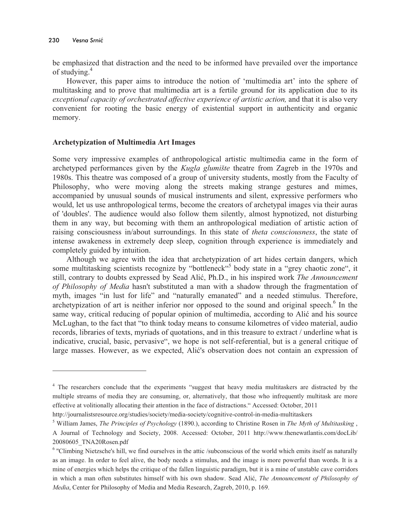$\overline{a}$ 

be emphasized that distraction and the need to be informed have prevailed over the importance of studying.<sup>4</sup>

However, this paper aims to introduce the notion of 'multimedia art' into the sphere of multitasking and to prove that multimedia art is a fertile ground for its application due to its *exceptional capacity of orchestrated affective experience of artistic action,* and that it is also very convenient for rooting the basic energy of existential support in authenticity and organic memory.

### **Archetypization of Multimedia Art Images**

Some very impressive examples of anthropological artistic multimedia came in the form of archetyped performances given by the *Kugla glumište* theatre from Zagreb in the 1970s and 1980s. This theatre was composed of a group of university students, mostly from the Faculty of Philosophy, who were moving along the streets making strange gestures and mimes, accompanied by unusual sounds of musical instruments and silent, expressive performers who would, let us use anthropological terms, become the creators of archetypal images via their auras of 'doubles'. The audience would also follow them silently, almost hypnotized, not disturbing them in any way, but becoming with them an anthropological mediation of artistic action of raising consciousness in/about surroundings. In this state of *theta consciousness*, the state of intense awakeness in extremely deep sleep, cognition through experience is immediately and completely guided by intuition.

Although we agree with the idea that archetypization of art hides certain dangers, which some multitasking scientists recognize by "bottleneck"<sup>5</sup> body state in a "grey chaotic zone", it still, contrary to doubts expressed by Sead Alić, Ph.D., in his inspired work *The Announcement of Philosophy of Media* hasn't substituted a man with a shadow through the fragmentation of myth, images "in lust for life" and "naturally emanated" and a needed stimulus. Therefore, archetypization of art is neither inferior nor opposed to the sound and original speech.<sup>6</sup> In the same way, critical reducing of popular opinion of multimedia, according to Alić and his source McLughan, to the fact that "to think today means to consume kilometres of video material, audio records, libraries of texts, myriads of quotations, and in this treasure to extract / underline what is indicative, crucial, basic, pervasive", we hope is not self-referential, but is a general critique of large masses. However, as we expected, Alić's observation does not contain an expression of

<sup>&</sup>lt;sup>4</sup> The researchers conclude that the experiments "suggest that heavy media multitaskers are distracted by the multiple streams of media they are consuming, or, alternatively, that those who infrequently multitask are more effective at volitionally allocating their attention in the face of distractions." Accessed: October, 2011

http://journalistsresource.org/studies/society/media-society/cognitive-control-in-media-multitaskers

<sup>5</sup> William James, *The Principles of Psychology* (1890.), according to Christine Rosen in *The Myth of Multitasking* , A Journal of Technology and Society, 2008. Accessed: October, 2011 http://www.thenewatlantis.com/docLib/ 20080605\_TNA20Rosen.pdf

<sup>&</sup>lt;sup>6</sup> "Climbing Nietzsche's hill, we find ourselves in the attic /subconscious of the world which emits itself as naturally as an image. In order to feel alive, the body needs a stimulus, and the image is more powerful than words. It is a mine of energies which helps the critique of the fallen linguistic paradigm, but it is a mine of unstable cave corridors in which a man often substitutes himself with his own shadow. Sead Alić, *The Announcement of Philosophy of Media*, Center for Philosophy of Media and Media Research, Zagreb, 2010, p. 169.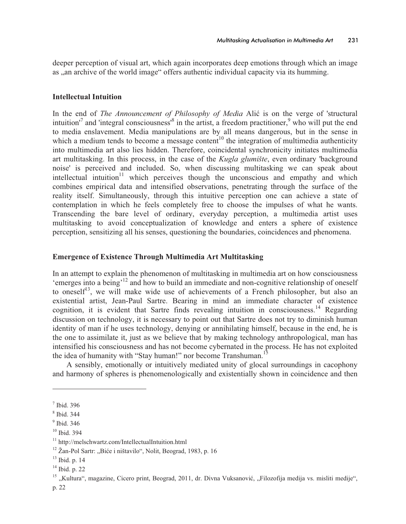deeper perception of visual art, which again incorporates deep emotions through which an image as ,, an archive of the world image" offers authentic individual capacity via its humming.

## **Intellectual Intuition**

In the end of *The Announcement of Philosophy of Media* Alić is on the verge of 'structural intuition<sup> $7$ </sup> and 'integral consciousness'<sup>8</sup> in the artist, a freedom practitioner,<sup>9</sup> who will put the end to media enslavement. Media manipulations are by all means dangerous, but in the sense in which a medium tends to become a message content<sup>10</sup> the integration of multimedia authenticity into multimedia art also lies hidden. Therefore, coincidental synchronicity initiates multimedia art multitasking. In this process, in the case of the *Kugla glumište*, even ordinary 'background noise' is perceived and included. So, when discussing multitasking we can speak about intellectual intuition<sup>11</sup> which perceives though the unconscious and empathy and which combines empirical data and intensified observations, penetrating through the surface of the reality itself. Simultaneously, through this intuitive perception one can achieve a state of contemplation in which he feels completely free to choose the impulses of what he wants. Transcending the bare level of ordinary, everyday perception, a multimedia artist uses multitasking to avoid conceptualization of knowledge and enters a sphere of existence perception, sensitizing all his senses, questioning the boundaries, coincidences and phenomena.

# **Emergence of Existence Through Multimedia Art Multitasking**

In an attempt to explain the phenomenon of multitasking in multimedia art on how consciousness 'emerges into a being'<sup>12</sup> and how to build an immediate and non-cognitive relationship of oneself to oneself<sup>13</sup>, we will make wide use of achievements of a French philosopher, but also an existential artist, Jean-Paul Sartre. Bearing in mind an immediate character of existence cognition, it is evident that Sartre finds revealing intuition in consciousness.<sup>14</sup> Regarding discussion on technology, it is necessary to point out that Sartre does not try to diminish human identity of man if he uses technology, denying or annihilating himself, because in the end, he is the one to assimilate it, just as we believe that by making technology anthropological, man has intensified his consciousness and has not become cybernated in the process. He has not exploited the idea of humanity with "Stay human!" nor become Transhuman.<sup>15</sup>

A sensibly, emotionally or intuitively mediated unity of glocal surroundings in cacophony and harmony of spheres is phenomenologically and existentially shown in coincidence and then

 $\overline{a}$ 

<sup>7</sup> Ibid. 396

<sup>8</sup> Ibid. 344

<sup>9</sup> Ibid. 346

<sup>10</sup> Ibid. 394

<sup>11</sup> http://melschwartz.com/IntellectualIntuition.html

 $12$  Žan-Pol Sartr: "Biće i ništavilo", Nolit, Beograd, 1983, p. 16

<sup>&</sup>lt;sup>13</sup> Ibid. p. 14

<sup>14</sup> Ibid. p. 22

<sup>&</sup>lt;sup>15</sup> "Kultura", magazine, Cicero print, Beograd, 2011, dr. Divna Vuksanović, "Filozofija medija vs. misliti medije",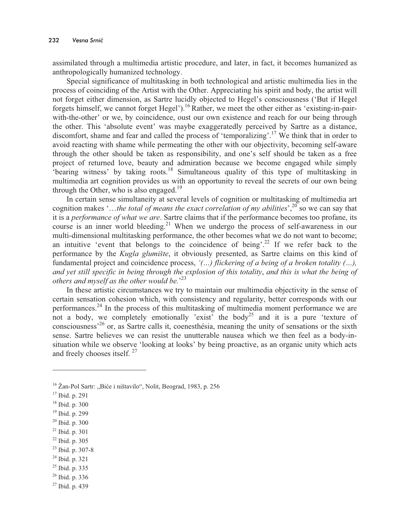assimilated through a multimedia artistic procedure, and later, in fact, it becomes humanized as anthropologically humanized technology.

Special significance of multitasking in both technological and artistic multimedia lies in the process of coinciding of the Artist with the Other. Appreciating his spirit and body, the artist will not forget either dimension, as Sartre lucidly objected to Hegel's consciousness ('But if Hegel forgets himself, we cannot forget Hegel').<sup>16</sup> Rather, we meet the other either as 'existing-in-pairwith-the-other' or we, by coincidence, oust our own existence and reach for our being through the other. This 'absolute event' was maybe exaggeratedly perceived by Sartre as a distance, discomfort, shame and fear and called the process of 'temporalizing'.<sup>17</sup> We think that in order to avoid reacting with shame while permeating the other with our objectivity, becoming self-aware through the other should be taken as responsibility, and one's self should be taken as a free project of returned love, beauty and admiration because we become engaged while simply 'bearing witness' by taking roots.<sup>18</sup> Simultaneous quality of this type of multitasking in multimedia art cognition provides us with an opportunity to reveal the secrets of our own being through the Other, who is also engaged.<sup>19</sup>

In certain sense simultaneity at several levels of cognition or multitasking of multimedia art cognition makes '...the total of means the exact correlation of my abilities',<sup>20</sup> so we can say that it is a *performance of what we are*. Sartre claims that if the performance becomes too profane, its course is an inner world bleeding.<sup>21</sup> When we undergo the process of self-awareness in our multi-dimensional multitasking performance, the other becomes what we do not want to become; an intuitive 'event that belongs to the coincidence of being'.<sup>22</sup> If we refer back to the performance by the *Kugla glumište*, it obviously presented, as Sartre claims on this kind of fundamental project and coincidence process, *'(…) flickering of a being of a broken totality (…), and yet still specific in being through the explosion of this totality*, *and this is what the being of others and myself as the other would be.*' 23

In these artistic circumstances we try to maintain our multimedia objectivity in the sense of certain sensation cohesion which, with consistency and regularity, better corresponds with our performances.<sup>24</sup> In the process of this multitasking of multimedia moment performance we are not a body, we completely emotionally 'exist' the body<sup>25</sup> and it is a pure 'texture of consciousness'<sup>26</sup> or, as Sartre calls it, coenesthésia, meaning the unity of sensations or the sixth sense. Sartre believes we can resist the unutterable nausea which we then feel as a body-insituation while we observe 'looking at looks' by being proactive, as an organic unity which acts and freely chooses itself.<sup>27</sup>

 $\overline{a}$ 

- <sup>21</sup> Ibid. p. 301
- <sup>22</sup> Ibid. p. 305
- <sup>23</sup> Ibid. p. 307-8
- <sup>24</sup> Ibid. p. 321
- <sup>25</sup> Ibid. p. 335
- <sup>26</sup> Ibid. p. 336
- <sup>27</sup> Ibid. p. 439

 $16$  Žan-Pol Sartr: "Biće i ništavilo", Nolit, Beograd, 1983, p. 256

<sup>17</sup> Ibid. p. 291

<sup>18</sup> Ibid. p. 300

<sup>19</sup> Ibid. p. 299

<sup>20</sup> Ibid. p. 300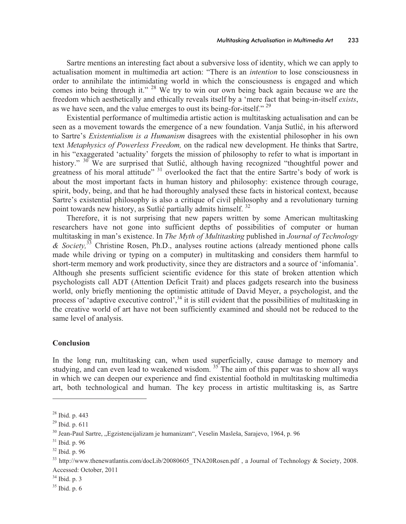Sartre mentions an interesting fact about a subversive loss of identity, which we can apply to actualisation moment in multimedia art action: "There is an *intention* to lose consciousness in order to annihilate the intimidating world in which the consciousness is engaged and which comes into being through it." <sup>28</sup> We try to win our own being back again because we are the freedom which aesthetically and ethically reveals itself by a 'mere fact that being-in-itself *exists*, as we have seen, and the value emerges to oust its being-for-itself."<sup>29</sup>

Existential performance of multimedia artistic action is multitasking actualisation and can be seen as a movement towards the emergence of a new foundation. Vanja Sutlić, in his afterword to Sartre's *Existentialism is a Humanism* disagrees with the existential philosopher in his own text *Metaphysics of Powerless Freedom,* on the radical new development. He thinks that Sartre, in his "exaggerated 'actuality' forgets the mission of philosophy to refer to what is important in history." <sup>30</sup> We are surprised that Sutlić, although having recognized "thoughtful power and greatness of his moral attitude" <sup>31</sup> overlooked the fact that the entire Sartre's body of work is about the most important facts in human history and philosophy: existence through courage, spirit, body, being, and that he had thoroughly analysed these facts in historical context, because Sartre's existential philosophy is also a critique of civil philosophy and a revolutionary turning point towards new history, as Sutlić partially admits himself.  $32$ 

Therefore, it is not surprising that new papers written by some American multitasking researchers have not gone into sufficient depths of possibilities of computer or human multitasking in man's existence. In *The Myth of Multitasking* published in *Journal of Technology & Society,*<sup>33</sup> Christine Rosen, Ph.D., analyses routine actions (already mentioned phone calls made while driving or typing on a computer) in multitasking and considers them harmful to short-term memory and work productivity, since they are distractors and a source of 'infomania'. Although she presents sufficient scientific evidence for this state of broken attention which psychologists call ADT (Attention Deficit Trait) and places gadgets research into the business world, only briefly mentioning the optimistic attitude of David Meyer, a psychologist, and the process of 'adaptive executive control',<sup>34</sup> it is still evident that the possibilities of multitasking in the creative world of art have not been sufficiently examined and should not be reduced to the same level of analysis.

#### **Conclusion**

In the long run, multitasking can, when used superficially, cause damage to memory and studying, and can even lead to weakened wisdom.  $35$  The aim of this paper was to show all ways in which we can deepen our experience and find existential foothold in multitasking multimedia art, both technological and human. The key process in artistic multitasking is, as Sartre

 $\overline{a}$ 

<sup>28</sup> Ibid. p. 443

<sup>29</sup> Ibid. p. 611

<sup>&</sup>lt;sup>30</sup> Jean-Paul Sartre, "Egzistencijalizam je humanizam", Veselin Masleša, Sarajevo, 1964, p. 96

 $31$  Ibid. p. 96

<sup>32</sup> Ibid. p. 96

<sup>&</sup>lt;sup>33</sup> http://www.thenewatlantis.com/docLib/20080605\_TNA20Rosen.pdf, a Journal of Technology & Society, 2008. Accessed: October, 2011

<sup>34</sup> Ibid. p. 3

<sup>35</sup> Ibid. p. 6